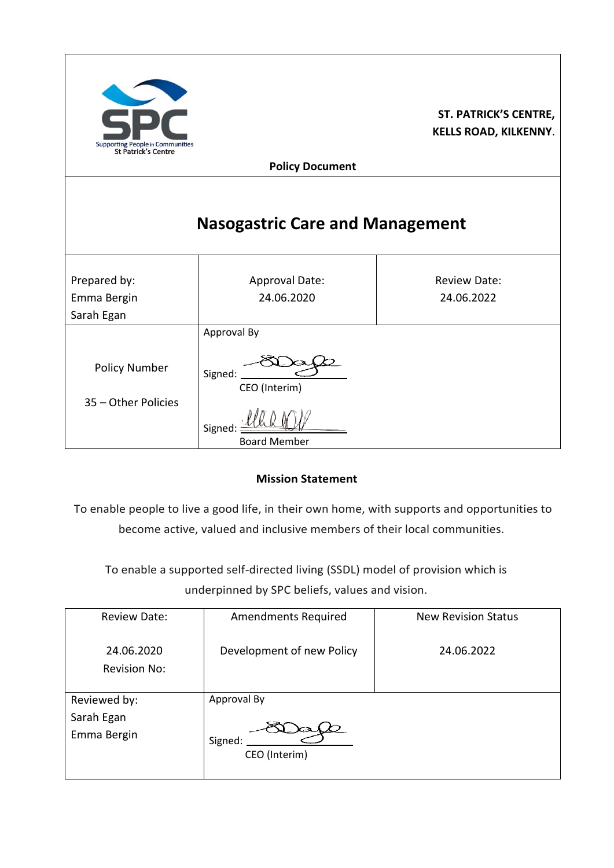| <b>Supporting People in Communities</b><br>St Patrick's Centre |                                                                          | <b>ST. PATRICK'S CENTRE,</b><br><b>KELLS ROAD, KILKENNY.</b> |  |  |
|----------------------------------------------------------------|--------------------------------------------------------------------------|--------------------------------------------------------------|--|--|
| <b>Policy Document</b>                                         |                                                                          |                                                              |  |  |
|                                                                | <b>Nasogastric Care and Management</b>                                   |                                                              |  |  |
| Prepared by:<br>Emma Bergin<br>Sarah Egan                      | Approval Date:<br>24.06.2020                                             | <b>Review Date:</b><br>24.06.2022                            |  |  |
| <b>Policy Number</b><br>35 - Other Policies                    | Approval By<br>Signed:<br>CEO (Interim)<br>Signed<br><b>Board Member</b> |                                                              |  |  |

#### **Mission Statement**

To enable people to live a good life, in their own home, with supports and opportunities to become active, valued and inclusive members of their local communities.

To enable a supported self-directed living (SSDL) model of provision which is underpinned by SPC beliefs, values and vision.

| <b>Review Date:</b>                       | <b>Amendments Required</b>              | <b>New Revision Status</b> |
|-------------------------------------------|-----------------------------------------|----------------------------|
| 24.06.2020<br><b>Revision No:</b>         | Development of new Policy               | 24.06.2022                 |
| Reviewed by:<br>Sarah Egan<br>Emma Bergin | Approval By<br>Signed:<br>CEO (Interim) |                            |
|                                           |                                         |                            |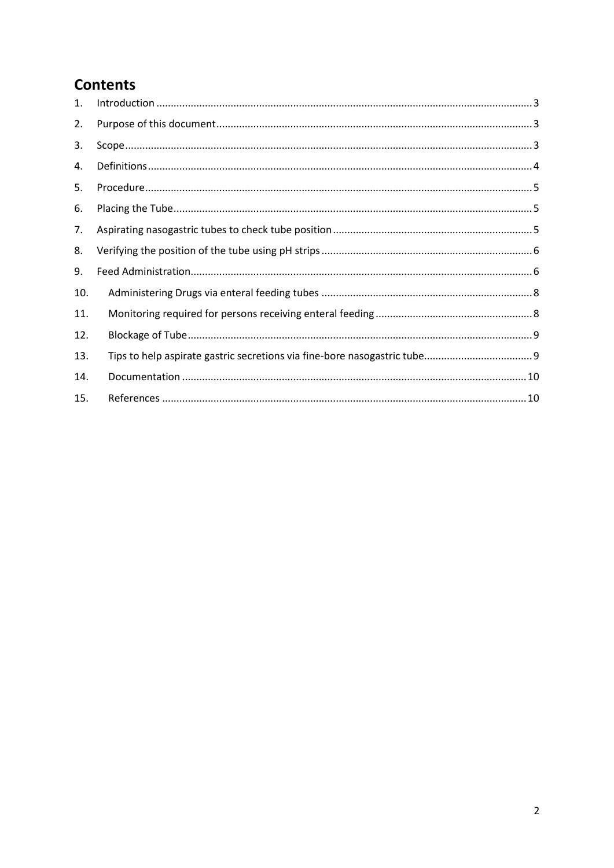# **Contents**

| 1.  |  |
|-----|--|
| 2.  |  |
| 3.  |  |
| 4.  |  |
| 5.  |  |
| 6.  |  |
| 7.  |  |
| 8.  |  |
| 9.  |  |
| 10. |  |
| 11. |  |
| 12. |  |
| 13. |  |
| 14. |  |
| 15. |  |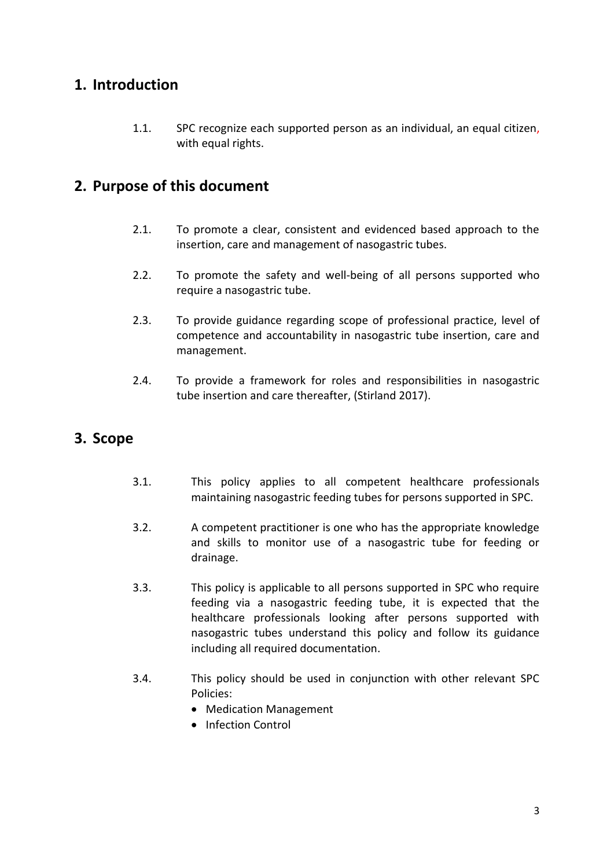#### <span id="page-2-0"></span>**1. Introduction**

1.1. SPC recognize each supported person as an individual, an equal citizen, with equal rights.

### <span id="page-2-1"></span>**2. Purpose of this document**

- 2.1. To promote a clear, consistent and evidenced based approach to the insertion, care and management of nasogastric tubes.
- 2.2. To promote the safety and well-being of all persons supported who require a nasogastric tube.
- 2.3. To provide guidance regarding scope of professional practice, level of competence and accountability in nasogastric tube insertion, care and management.
- 2.4. To provide a framework for roles and responsibilities in nasogastric tube insertion and care thereafter, (Stirland 2017).

## <span id="page-2-2"></span>**3. Scope**

- 3.1. This policy applies to all competent healthcare professionals maintaining nasogastric feeding tubes for persons supported in SPC.
- 3.2. A competent practitioner is one who has the appropriate knowledge and skills to monitor use of a nasogastric tube for feeding or drainage.
- 3.3. This policy is applicable to all persons supported in SPC who require feeding via a nasogastric feeding tube, it is expected that the healthcare professionals looking after persons supported with nasogastric tubes understand this policy and follow its guidance including all required documentation.
- 3.4. This policy should be used in conjunction with other relevant SPC Policies:
	- Medication Management
	- Infection Control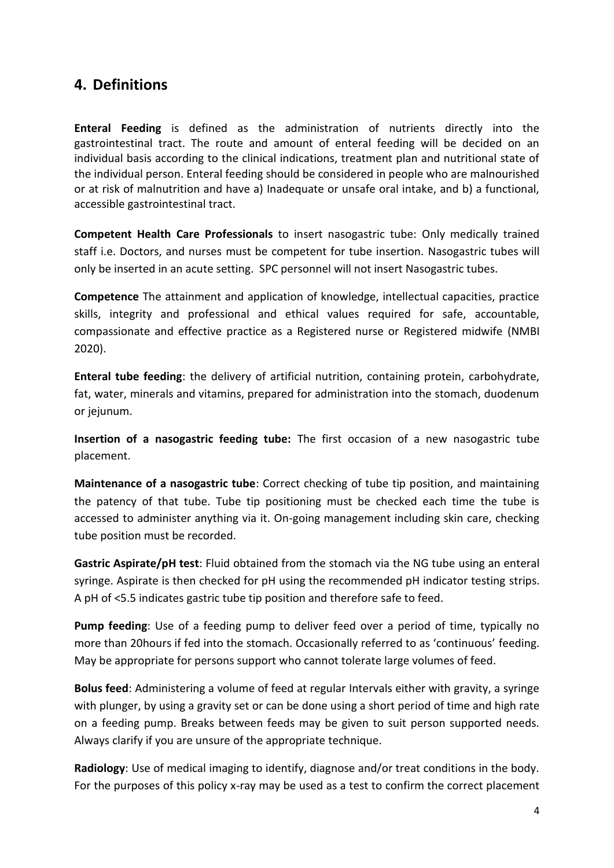#### <span id="page-3-0"></span>**4. Definitions**

**Enteral Feeding** is defined as the administration of nutrients directly into the gastrointestinal tract. The route and amount of enteral feeding will be decided on an individual basis according to the clinical indications, treatment plan and nutritional state of the individual person. Enteral feeding should be considered in people who are malnourished or at risk of malnutrition and have a) Inadequate or unsafe oral intake, and b) a functional, accessible gastrointestinal tract.

**Competent Health Care Professionals** to insert nasogastric tube: Only medically trained staff i.e. Doctors, and nurses must be competent for tube insertion. Nasogastric tubes will only be inserted in an acute setting. SPC personnel will not insert Nasogastric tubes.

**Competence** The attainment and application of knowledge, intellectual capacities, practice skills, integrity and professional and ethical values required for safe, accountable, compassionate and effective practice as a Registered nurse or Registered midwife (NMBI 2020).

**Enteral tube feeding**: the delivery of artificial nutrition, containing protein, carbohydrate, fat, water, minerals and vitamins, prepared for administration into the stomach, duodenum or jejunum.

**Insertion of a nasogastric feeding tube:** The first occasion of a new nasogastric tube placement.

**Maintenance of a nasogastric tube**: Correct checking of tube tip position, and maintaining the patency of that tube. Tube tip positioning must be checked each time the tube is accessed to administer anything via it. On-going management including skin care, checking tube position must be recorded.

**Gastric Aspirate/pH test**: Fluid obtained from the stomach via the NG tube using an enteral syringe. Aspirate is then checked for pH using the recommended pH indicator testing strips. A pH of <5.5 indicates gastric tube tip position and therefore safe to feed.

**Pump feeding**: Use of a feeding pump to deliver feed over a period of time, typically no more than 20hours if fed into the stomach. Occasionally referred to as 'continuous' feeding. May be appropriate for persons support who cannot tolerate large volumes of feed.

**Bolus feed**: Administering a volume of feed at regular Intervals either with gravity, a syringe with plunger, by using a gravity set or can be done using a short period of time and high rate on a feeding pump. Breaks between feeds may be given to suit person supported needs. Always clarify if you are unsure of the appropriate technique.

**Radiology**: Use of medical imaging to identify, diagnose and/or treat conditions in the body. For the purposes of this policy x-ray may be used as a test to confirm the correct placement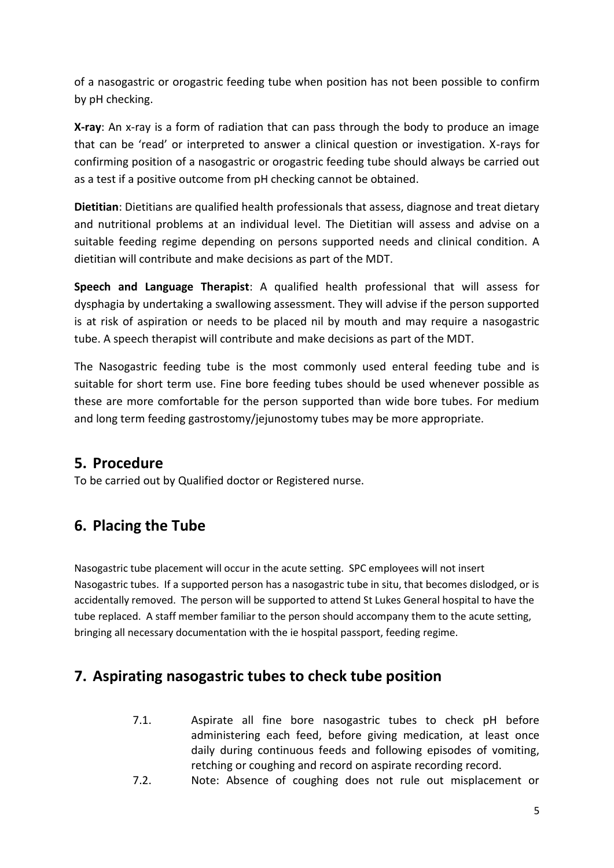of a nasogastric or orogastric feeding tube when position has not been possible to confirm by pH checking.

**X-ray**: An x-ray is a form of radiation that can pass through the body to produce an image that can be 'read' or interpreted to answer a clinical question or investigation. X-rays for confirming position of a nasogastric or orogastric feeding tube should always be carried out as a test if a positive outcome from pH checking cannot be obtained.

**Dietitian**: Dietitians are qualified health professionals that assess, diagnose and treat dietary and nutritional problems at an individual level. The Dietitian will assess and advise on a suitable feeding regime depending on persons supported needs and clinical condition. A dietitian will contribute and make decisions as part of the MDT.

**Speech and Language Therapist**: A qualified health professional that will assess for dysphagia by undertaking a swallowing assessment. They will advise if the person supported is at risk of aspiration or needs to be placed nil by mouth and may require a nasogastric tube. A speech therapist will contribute and make decisions as part of the MDT.

The Nasogastric feeding tube is the most commonly used enteral feeding tube and is suitable for short term use. Fine bore feeding tubes should be used whenever possible as these are more comfortable for the person supported than wide bore tubes. For medium and long term feeding gastrostomy/jejunostomy tubes may be more appropriate.

#### <span id="page-4-0"></span>**5. Procedure**

To be carried out by Qualified doctor or Registered nurse.

## <span id="page-4-1"></span>**6. Placing the Tube**

Nasogastric tube placement will occur in the acute setting. SPC employees will not insert Nasogastric tubes. If a supported person has a nasogastric tube in situ, that becomes dislodged, or is accidentally removed. The person will be supported to attend St Lukes General hospital to have the tube replaced. A staff member familiar to the person should accompany them to the acute setting, bringing all necessary documentation with the ie hospital passport, feeding regime.

## <span id="page-4-2"></span>**7. Aspirating nasogastric tubes to check tube position**

- 7.1. Aspirate all fine bore nasogastric tubes to check pH before administering each feed, before giving medication, at least once daily during continuous feeds and following episodes of vomiting, retching or coughing and record on aspirate recording record.
- 7.2. Note: Absence of coughing does not rule out misplacement or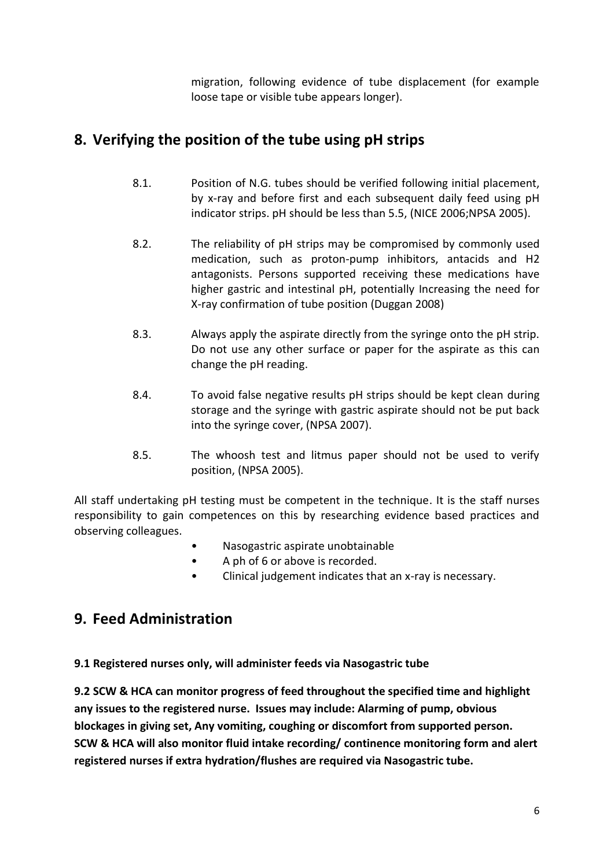migration, following evidence of tube displacement (for example loose tape or visible tube appears longer).

## <span id="page-5-0"></span>**8. Verifying the position of the tube using pH strips**

- 8.1. Position of N.G. tubes should be verified following initial placement, by x-ray and before first and each subsequent daily feed using pH indicator strips. pH should be less than 5.5, (NICE 2006;NPSA 2005).
- 8.2. The reliability of pH strips may be compromised by commonly used medication, such as proton-pump inhibitors, antacids and H2 antagonists. Persons supported receiving these medications have higher gastric and intestinal pH, potentially Increasing the need for X-ray confirmation of tube position (Duggan 2008)
- 8.3. Always apply the aspirate directly from the syringe onto the pH strip. Do not use any other surface or paper for the aspirate as this can change the pH reading.
- 8.4. To avoid false negative results pH strips should be kept clean during storage and the syringe with gastric aspirate should not be put back into the syringe cover, (NPSA 2007).
- 8.5. The whoosh test and litmus paper should not be used to verify position, (NPSA 2005).

All staff undertaking pH testing must be competent in the technique. It is the staff nurses responsibility to gain competences on this by researching evidence based practices and observing colleagues.

- Nasogastric aspirate unobtainable
- A ph of 6 or above is recorded.
- Clinical judgement indicates that an x-ray is necessary.

## <span id="page-5-1"></span>**9. Feed Administration**

**9.1 Registered nurses only, will administer feeds via Nasogastric tube**

**9.2 SCW & HCA can monitor progress of feed throughout the specified time and highlight any issues to the registered nurse. Issues may include: Alarming of pump, obvious blockages in giving set, Any vomiting, coughing or discomfort from supported person. SCW & HCA will also monitor fluid intake recording/ continence monitoring form and alert registered nurses if extra hydration/flushes are required via Nasogastric tube.**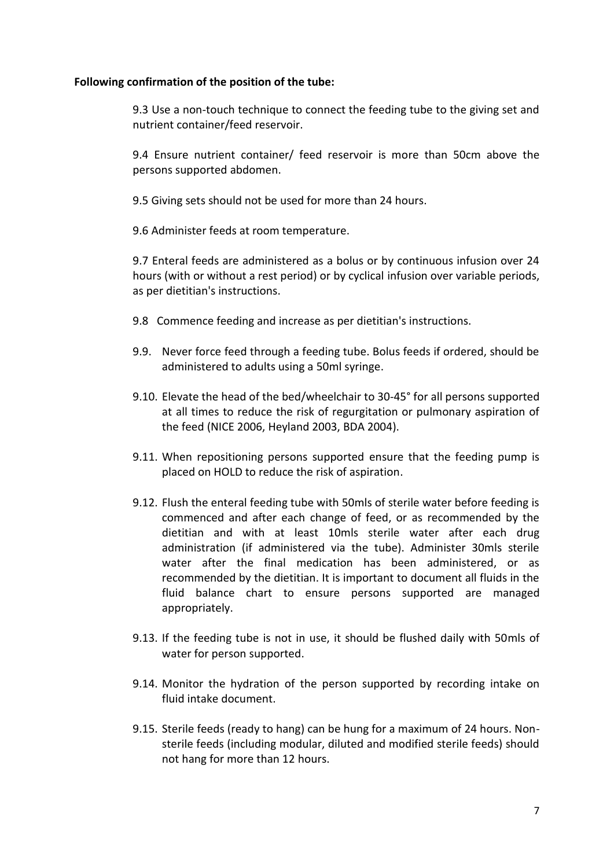#### **Following confirmation of the position of the tube:**

9.3 Use a non-touch technique to connect the feeding tube to the giving set and nutrient container/feed reservoir.

9.4 Ensure nutrient container/ feed reservoir is more than 50cm above the persons supported abdomen.

9.5 Giving sets should not be used for more than 24 hours.

9.6 Administer feeds at room temperature.

9.7 Enteral feeds are administered as a bolus or by continuous infusion over 24 hours (with or without a rest period) or by cyclical infusion over variable periods, as per dietitian's instructions.

- 9.8 Commence feeding and increase as per dietitian's instructions.
- 9.9. Never force feed through a feeding tube. Bolus feeds if ordered, should be administered to adults using a 50ml syringe.
- 9.10. Elevate the head of the bed/wheelchair to 30-45° for all persons supported at all times to reduce the risk of regurgitation or pulmonary aspiration of the feed (NICE 2006, Heyland 2003, BDA 2004).
- 9.11. When repositioning persons supported ensure that the feeding pump is placed on HOLD to reduce the risk of aspiration.
- 9.12. Flush the enteral feeding tube with 50mls of sterile water before feeding is commenced and after each change of feed, or as recommended by the dietitian and with at least 10mls sterile water after each drug administration (if administered via the tube). Administer 30mls sterile water after the final medication has been administered, or as recommended by the dietitian. It is important to document all fluids in the fluid balance chart to ensure persons supported are managed appropriately.
- 9.13. If the feeding tube is not in use, it should be flushed daily with 50mls of water for person supported.
- 9.14. Monitor the hydration of the person supported by recording intake on fluid intake document.
- 9.15. Sterile feeds (ready to hang) can be hung for a maximum of 24 hours. Nonsterile feeds (including modular, diluted and modified sterile feeds) should not hang for more than 12 hours.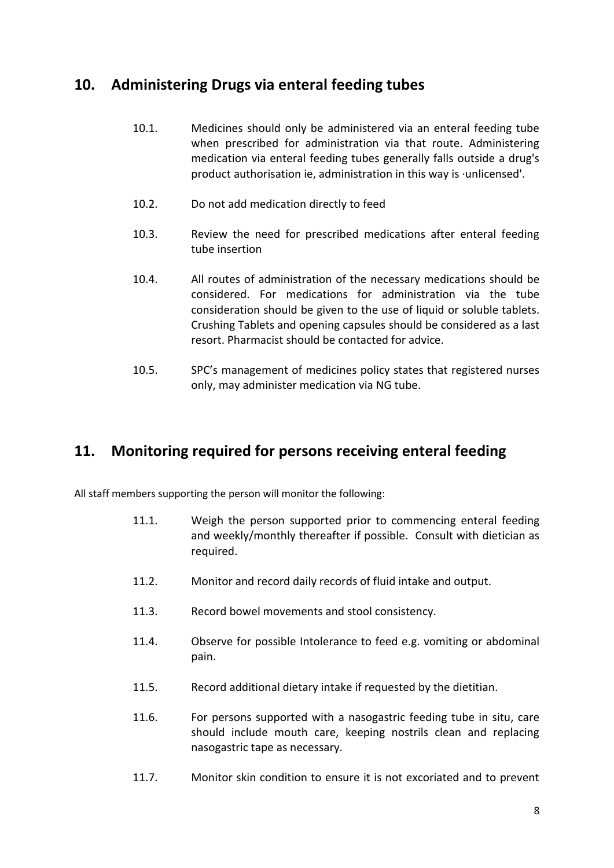#### <span id="page-7-0"></span>**10. Administering Drugs via enteral feeding tubes**

- 10.1. Medicines should only be administered via an enteral feeding tube when prescribed for administration via that route. Administering medication via enteral feeding tubes generally falls outside a drug's product authorisation ie, administration in this way is ·unlicensed'.
- 10.2. Do not add medication directly to feed
- 10.3. Review the need for prescribed medications after enteral feeding tube insertion
- 10.4. All routes of administration of the necessary medications should be considered. For medications for administration via the tube consideration should be given to the use of liquid or soluble tablets. Crushing Tablets and opening capsules should be considered as a last resort. Pharmacist should be contacted for advice.
- 10.5. SPC's management of medicines policy states that registered nurses only, may administer medication via NG tube.

#### <span id="page-7-1"></span>**11. Monitoring required for persons receiving enteral feeding**

All staff members supporting the person will monitor the following:

- 11.1. Weigh the person supported prior to commencing enteral feeding and weekly/monthly thereafter if possible. Consult with dietician as required.
- 11.2. Monitor and record daily records of fluid intake and output.
- 11.3. Record bowel movements and stool consistency.
- 11.4. Observe for possible Intolerance to feed e.g. vomiting or abdominal pain.
- 11.5. Record additional dietary intake if requested by the dietitian.
- 11.6. For persons supported with a nasogastric feeding tube in situ, care should include mouth care, keeping nostrils clean and replacing nasogastric tape as necessary.
- 11.7. Monitor skin condition to ensure it is not excoriated and to prevent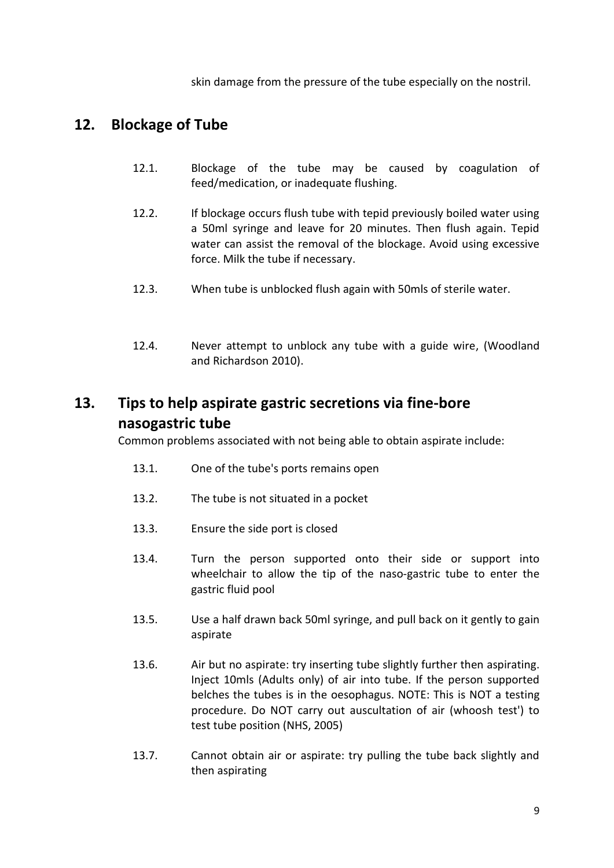skin damage from the pressure of the tube especially on the nostril.

## <span id="page-8-0"></span>**12. Blockage of Tube**

- 12.1. Blockage of the tube may be caused by coagulation of feed/medication, or inadequate flushing.
- 12.2. If blockage occurs flush tube with tepid previously boiled water using a 50ml syringe and leave for 20 minutes. Then flush again. Tepid water can assist the removal of the blockage. Avoid using excessive force. Milk the tube if necessary.
- 12.3. When tube is unblocked flush again with 50mls of sterile water.
- 12.4. Never attempt to unblock any tube with a guide wire, (Woodland and Richardson 2010).

## <span id="page-8-1"></span>**13. Tips to help aspirate gastric secretions via fine-bore nasogastric tube**

Common problems associated with not being able to obtain aspirate include:

- 13.1. One of the tube's ports remains open
- 13.2. The tube is not situated in a pocket
- 13.3. Ensure the side port is closed
- 13.4. Turn the person supported onto their side or support into wheelchair to allow the tip of the naso-gastric tube to enter the gastric fluid pool
- 13.5. Use a half drawn back 50ml syringe, and pull back on it gently to gain aspirate
- 13.6. Air but no aspirate: try inserting tube slightly further then aspirating. Inject 10mls (Adults only) of air into tube. If the person supported belches the tubes is in the oesophagus. NOTE: This is NOT a testing procedure. Do NOT carry out auscultation of air (whoosh test') to test tube position (NHS, 2005)
- 13.7. Cannot obtain air or aspirate: try pulling the tube back slightly and then aspirating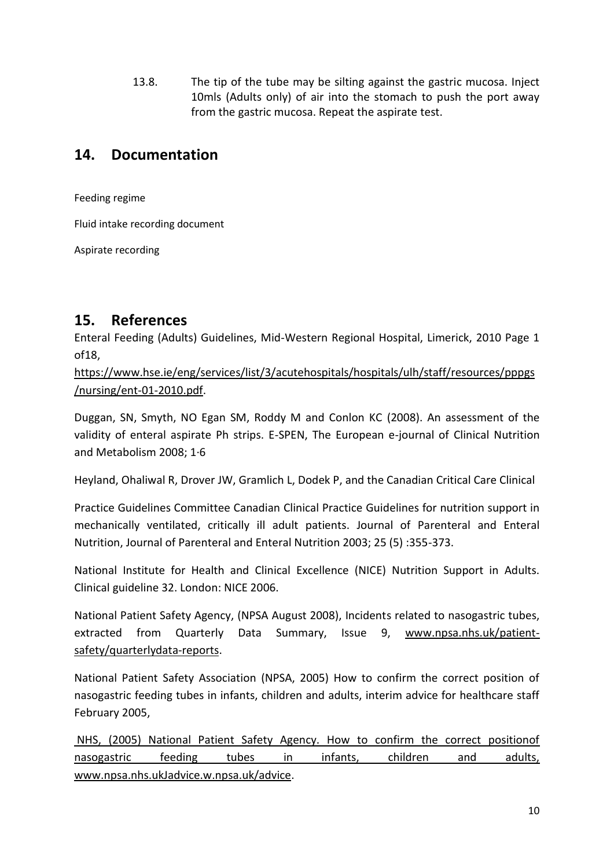13.8. The tip of the tube may be silting against the gastric mucosa. Inject 10mls (Adults only) of air into the stomach to push the port away from the gastric mucosa. Repeat the aspirate test.

## <span id="page-9-0"></span>**14. Documentation**

Feeding regime

Fluid intake recording document

Aspirate recording

## <span id="page-9-1"></span>**15. References**

Enteral Feeding (Adults) Guidelines, Mid-Western Regional Hospital, Limerick, 2010 Page 1 of18,

[https://www.hse.ie/eng/services/list/3/acutehospitals/hospitals/ulh/staff/resources/pppgs](https://www.hse.ie/eng/services/list/3/acutehospitals/hospitals/ulh/staff/resources/pppgs/nursing/ent-01-2010.pdf) [/nursing/ent-01-2010.pdf.](https://www.hse.ie/eng/services/list/3/acutehospitals/hospitals/ulh/staff/resources/pppgs/nursing/ent-01-2010.pdf)

Duggan, SN, Smyth, NO Egan SM, Roddy M and Conlon KC (2008). An assessment of the validity of enteral aspirate Ph strips. E-SPEN, The European e-journal of Clinical Nutrition and Metabolism 2008; 1·6

Heyland, Ohaliwal R, Drover JW, Gramlich L, Dodek P, and the Canadian Critical Care Clinical

Practice Guidelines Committee Canadian Clinical Practice Guidelines for nutrition support in mechanically ventilated, critically ill adult patients. Journal of Parenteral and Enteral Nutrition, Journal of Parenteral and Enteral Nutrition 2003; 25 (5) :355-373.

National Institute for Health and Clinical Excellence (NICE) Nutrition Support in Adults. Clinical guideline 32. London: NICE 2006.

National Patient Safety Agency, (NPSA August 2008), Incidents related to nasogastric tubes, extracted from Quarterly Data Summary, Issue 9, [www.npsa.nhs.uk/patient](http://www.npsa.nhs.uk/patient-safety/quarterlydata-reports)[safety/quarterlydata-reports.](http://www.npsa.nhs.uk/patient-safety/quarterlydata-reports)

National Patient Safety Association (NPSA, 2005) How to confirm the correct position of nasogastric feeding tubes in infants, children and adults, interim advice for healthcare staff February 2005,

NHS, (2005) National Patient Safety Agency. How to confirm the correct positionof nasogastric feeding tubes in infants, children and adults, www.npsa.nhs.ukJadvice.w.npsa.uk/advice.